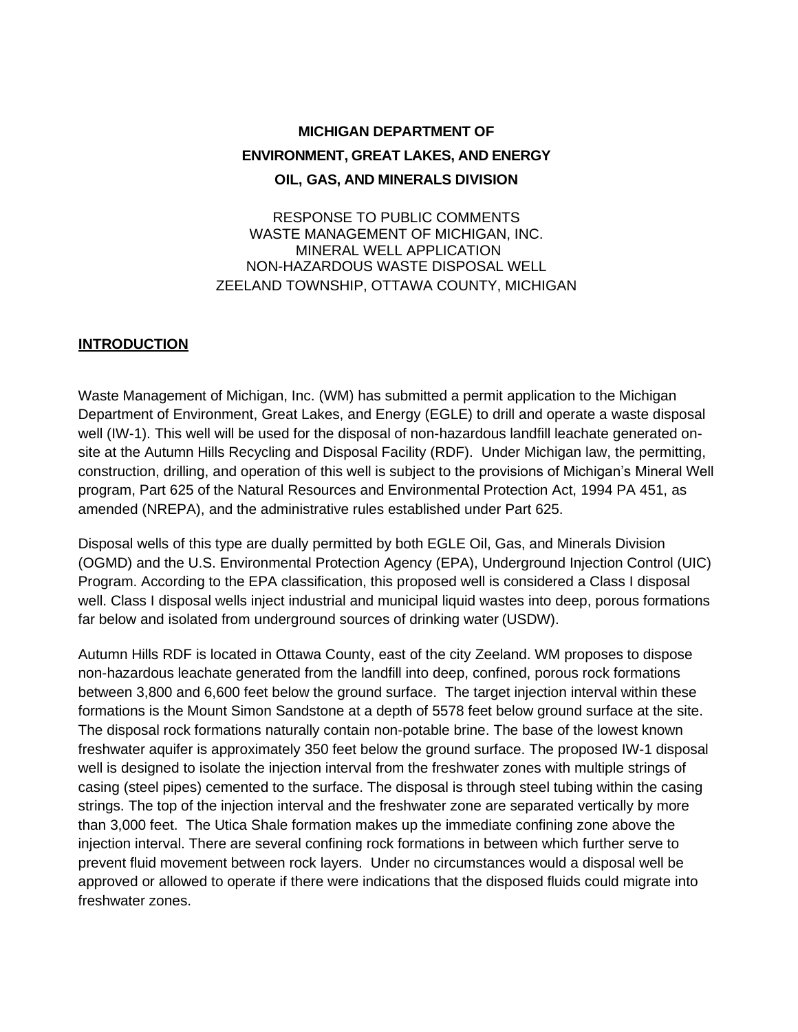# **MICHIGAN DEPARTMENT OF ENVIRONMENT, GREAT LAKES, AND ENERGY OIL, GAS, AND MINERALS DIVISION**

RESPONSE TO PUBLIC COMMENTS WASTE MANAGEMENT OF MICHIGAN, INC. MINERAL WELL APPLICATION NON-HAZARDOUS WASTE DISPOSAL WELL ZEELAND TOWNSHIP, OTTAWA COUNTY, MICHIGAN

#### **INTRODUCTION**

Waste Management of Michigan, Inc. (WM) has submitted a permit application to the Michigan Department of Environment, Great Lakes, and Energy (EGLE) to drill and operate a waste disposal well (IW-1). This well will be used for the disposal of non-hazardous landfill leachate generated onsite at the Autumn Hills Recycling and Disposal Facility (RDF). Under Michigan law, the permitting, construction, drilling, and operation of this well is subject to the provisions of Michigan's Mineral Well program, Part 625 of the Natural Resources and Environmental Protection Act, 1994 PA 451, as amended (NREPA), and the administrative rules established under Part 625.

Disposal wells of this type are dually permitted by both EGLE Oil, Gas, and Minerals Division (OGMD) and the U.S. Environmental Protection Agency (EPA), Underground Injection Control (UIC) Program. According to the EPA classification, this proposed well is considered a Class I disposal well. Class I disposal wells inject industrial and municipal liquid wastes into deep, porous formations far below and isolated from underground sources of drinking water (USDW).

Autumn Hills RDF is located in Ottawa County, east of the city Zeeland. WM proposes to dispose non-hazardous leachate generated from the landfill into deep, confined, porous rock formations between 3,800 and 6,600 feet below the ground surface. The target injection interval within these formations is the Mount Simon Sandstone at a depth of 5578 feet below ground surface at the site. The disposal rock formations naturally contain non-potable brine. The base of the lowest known freshwater aquifer is approximately 350 feet below the ground surface. The proposed IW-1 disposal well is designed to isolate the injection interval from the freshwater zones with multiple strings of casing (steel pipes) cemented to the surface. The disposal is through steel tubing within the casing strings. The top of the injection interval and the freshwater zone are separated vertically by more than 3,000 feet. The Utica Shale formation makes up the immediate confining zone above the injection interval. There are several confining rock formations in between which further serve to prevent fluid movement between rock layers. Under no circumstances would a disposal well be approved or allowed to operate if there were indications that the disposed fluids could migrate into freshwater zones.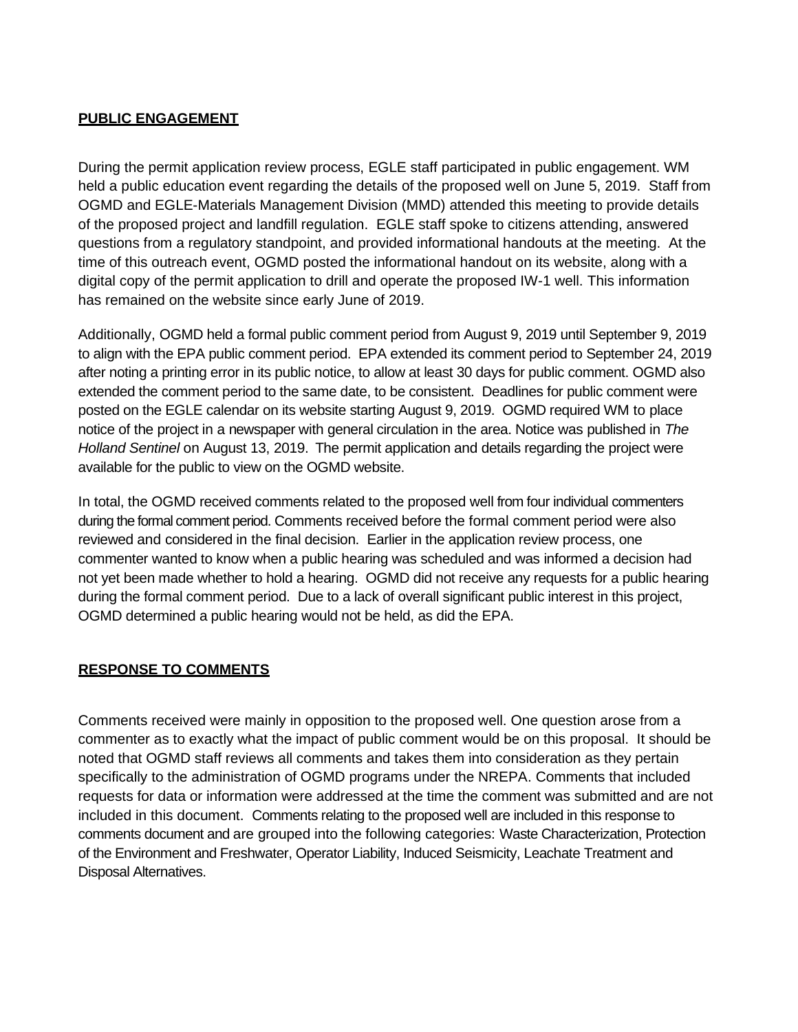### **PUBLIC ENGAGEMENT**

During the permit application review process, EGLE staff participated in public engagement. WM held a public education event regarding the details of the proposed well on June 5, 2019. Staff from OGMD and EGLE-Materials Management Division (MMD) attended this meeting to provide details of the proposed project and landfill regulation. EGLE staff spoke to citizens attending, answered questions from a regulatory standpoint, and provided informational handouts at the meeting. At the time of this outreach event, OGMD posted the informational handout on its website, along with a digital copy of the permit application to drill and operate the proposed IW-1 well. This information has remained on the website since early June of 2019.

Additionally, OGMD held a formal public comment period from August 9, 2019 until September 9, 2019 to align with the EPA public comment period. EPA extended its comment period to September 24, 2019 after noting a printing error in its public notice, to allow at least 30 days for public comment. OGMD also extended the comment period to the same date, to be consistent. Deadlines for public comment were posted on the EGLE calendar on its website starting August 9, 2019. OGMD required WM to place notice of the project in a newspaper with general circulation in the area. Notice was published in *The Holland Sentinel* on August 13, 2019. The permit application and details regarding the project were available for the public to view on the OGMD website.

In total, the OGMD received comments related to the proposed well from four individual commenters during the formal comment period. Comments received before the formal comment period were also reviewed and considered in the final decision. Earlier in the application review process, one commenter wanted to know when a public hearing was scheduled and was informed a decision had not yet been made whether to hold a hearing. OGMD did not receive any requests for a public hearing during the formal comment period. Due to a lack of overall significant public interest in this project, OGMD determined a public hearing would not be held, as did the EPA.

#### **RESPONSE TO COMMENTS**

Comments received were mainly in opposition to the proposed well. One question arose from a commenter as to exactly what the impact of public comment would be on this proposal. It should be noted that OGMD staff reviews all comments and takes them into consideration as they pertain specifically to the administration of OGMD programs under the NREPA. Comments that included requests for data or information were addressed at the time the comment was submitted and are not included in this document. Comments relating to the proposed well are included in this response to comments document and are grouped into the following categories: Waste Characterization, Protection of the Environment and Freshwater, Operator Liability, Induced Seismicity, Leachate Treatment and Disposal Alternatives.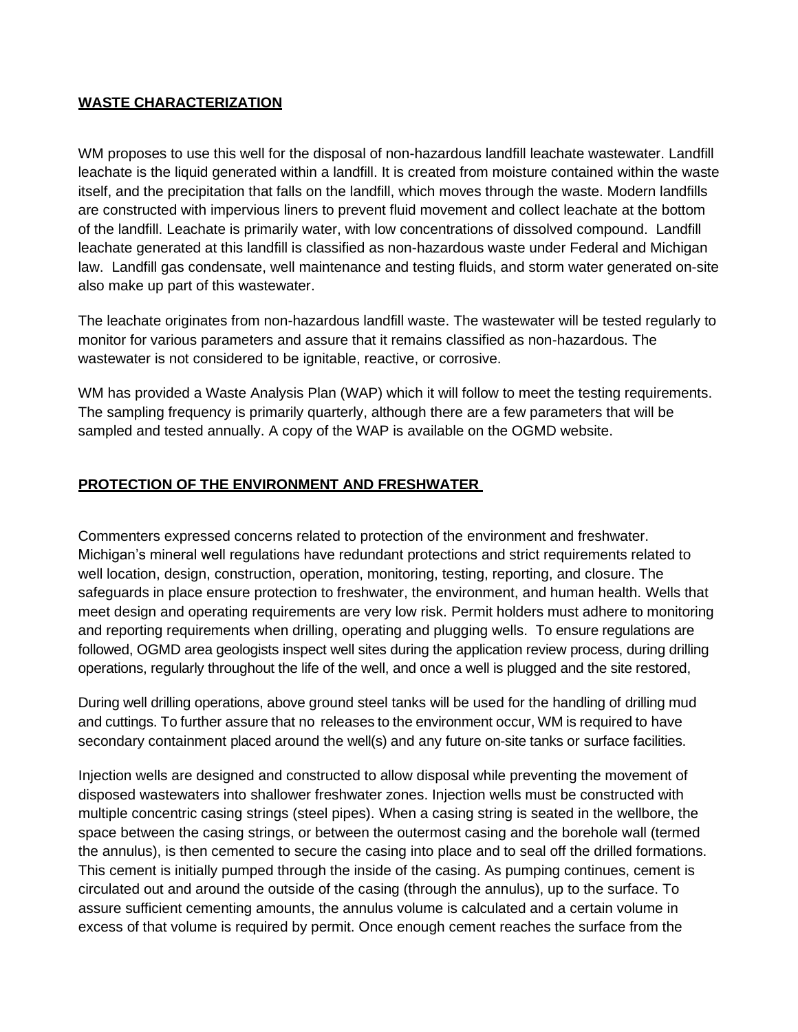### **WASTE CHARACTERIZATION**

WM proposes to use this well for the disposal of non-hazardous landfill leachate wastewater. Landfill leachate is the liquid generated within a landfill. It is created from moisture contained within the waste itself, and the precipitation that falls on the landfill, which moves through the waste. Modern landfills are constructed with impervious liners to prevent fluid movement and collect leachate at the bottom of the landfill. Leachate is primarily water, with low concentrations of dissolved compound. Landfill leachate generated at this landfill is classified as non-hazardous waste under Federal and Michigan law. Landfill gas condensate, well maintenance and testing fluids, and storm water generated on-site also make up part of this wastewater.

The leachate originates from non-hazardous landfill waste. The wastewater will be tested regularly to monitor for various parameters and assure that it remains classified as non-hazardous. The wastewater is not considered to be ignitable, reactive, or corrosive.

WM has provided a Waste Analysis Plan (WAP) which it will follow to meet the testing requirements. The sampling frequency is primarily quarterly, although there are a few parameters that will be sampled and tested annually. A copy of the WAP is available on the OGMD website.

## **PROTECTION OF THE ENVIRONMENT AND FRESHWATER**

Commenters expressed concerns related to protection of the environment and freshwater. Michigan's mineral well regulations have redundant protections and strict requirements related to well location, design, construction, operation, monitoring, testing, reporting, and closure. The safeguards in place ensure protection to freshwater, the environment, and human health. Wells that meet design and operating requirements are very low risk. Permit holders must adhere to monitoring and reporting requirements when drilling, operating and plugging wells. To ensure regulations are followed, OGMD area geologists inspect well sites during the application review process, during drilling operations, regularly throughout the life of the well, and once a well is plugged and the site restored,

During well drilling operations, above ground steel tanks will be used for the handling of drilling mud and cuttings. To further assure that no releases to the environment occur, WM is required to have secondary containment placed around the well(s) and any future on-site tanks or surface facilities.

Injection wells are designed and constructed to allow disposal while preventing the movement of disposed wastewaters into shallower freshwater zones. Injection wells must be constructed with multiple concentric casing strings (steel pipes). When a casing string is seated in the wellbore, the space between the casing strings, or between the outermost casing and the borehole wall (termed the annulus), is then cemented to secure the casing into place and to seal off the drilled formations. This cement is initially pumped through the inside of the casing. As pumping continues, cement is circulated out and around the outside of the casing (through the annulus), up to the surface. To assure sufficient cementing amounts, the annulus volume is calculated and a certain volume in excess of that volume is required by permit. Once enough cement reaches the surface from the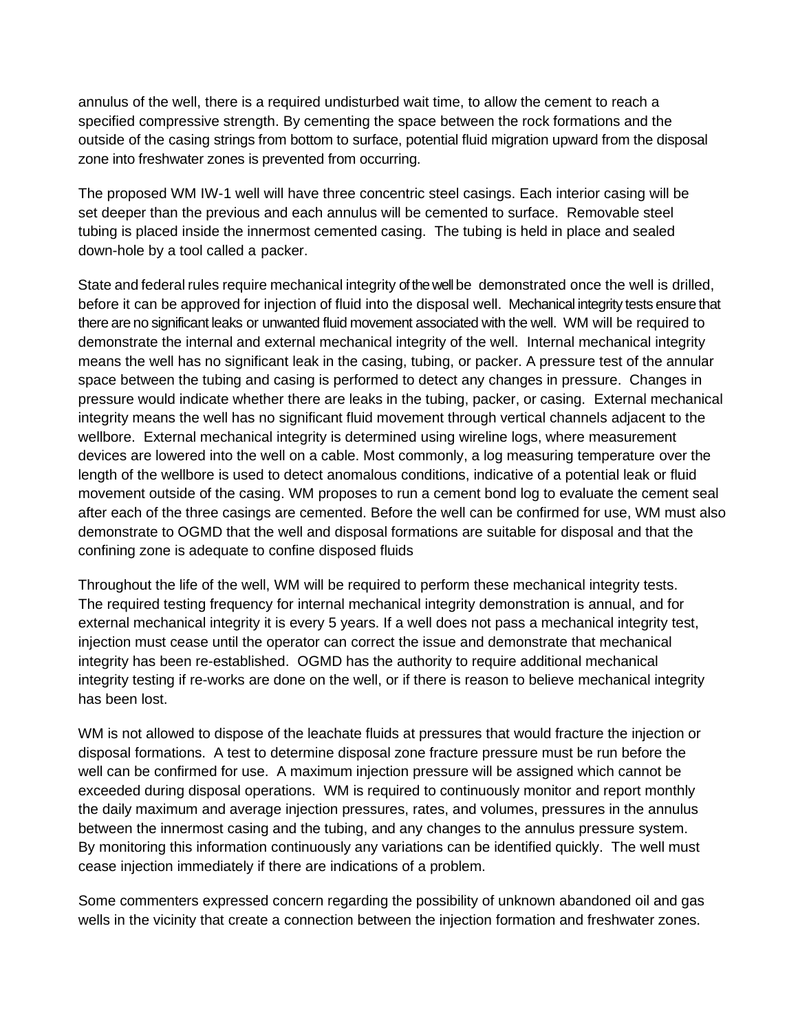annulus of the well, there is a required undisturbed wait time, to allow the cement to reach a specified compressive strength. By cementing the space between the rock formations and the outside of the casing strings from bottom to surface, potential fluid migration upward from the disposal zone into freshwater zones is prevented from occurring.

The proposed WM IW-1 well will have three concentric steel casings. Each interior casing will be set deeper than the previous and each annulus will be cemented to surface. Removable steel tubing is placed inside the innermost cemented casing. The tubing is held in place and sealed down-hole by a tool called a packer.

State and federal rules require mechanical integrity of the well be demonstrated once the well is drilled, before it can be approved for injection of fluid into the disposal well. Mechanical integrity tests ensure that there are no significant leaks or unwanted fluid movement associated with the well. WM will be required to demonstrate the internal and external mechanical integrity of the well. Internal mechanical integrity means the well has no significant leak in the casing, tubing, or packer. A pressure test of the annular space between the tubing and casing is performed to detect any changes in pressure. Changes in pressure would indicate whether there are leaks in the tubing, packer, or casing. External mechanical integrity means the well has no significant fluid movement through vertical channels adjacent to the wellbore. External mechanical integrity is determined using wireline logs, where measurement devices are lowered into the well on a cable. Most commonly, a log measuring temperature over the length of the wellbore is used to detect anomalous conditions, indicative of a potential leak or fluid movement outside of the casing. WM proposes to run a cement bond log to evaluate the cement seal after each of the three casings are cemented. Before the well can be confirmed for use, WM must also demonstrate to OGMD that the well and disposal formations are suitable for disposal and that the confining zone is adequate to confine disposed fluids

Throughout the life of the well, WM will be required to perform these mechanical integrity tests. The required testing frequency for internal mechanical integrity demonstration is annual, and for external mechanical integrity it is every 5 years. If a well does not pass a mechanical integrity test, injection must cease until the operator can correct the issue and demonstrate that mechanical integrity has been re-established. OGMD has the authority to require additional mechanical integrity testing if re-works are done on the well, or if there is reason to believe mechanical integrity has been lost.

WM is not allowed to dispose of the leachate fluids at pressures that would fracture the injection or disposal formations. A test to determine disposal zone fracture pressure must be run before the well can be confirmed for use. A maximum injection pressure will be assigned which cannot be exceeded during disposal operations. WM is required to continuously monitor and report monthly the daily maximum and average injection pressures, rates, and volumes, pressures in the annulus between the innermost casing and the tubing, and any changes to the annulus pressure system. By monitoring this information continuously any variations can be identified quickly. The well must cease injection immediately if there are indications of a problem.

Some commenters expressed concern regarding the possibility of unknown abandoned oil and gas wells in the vicinity that create a connection between the injection formation and freshwater zones.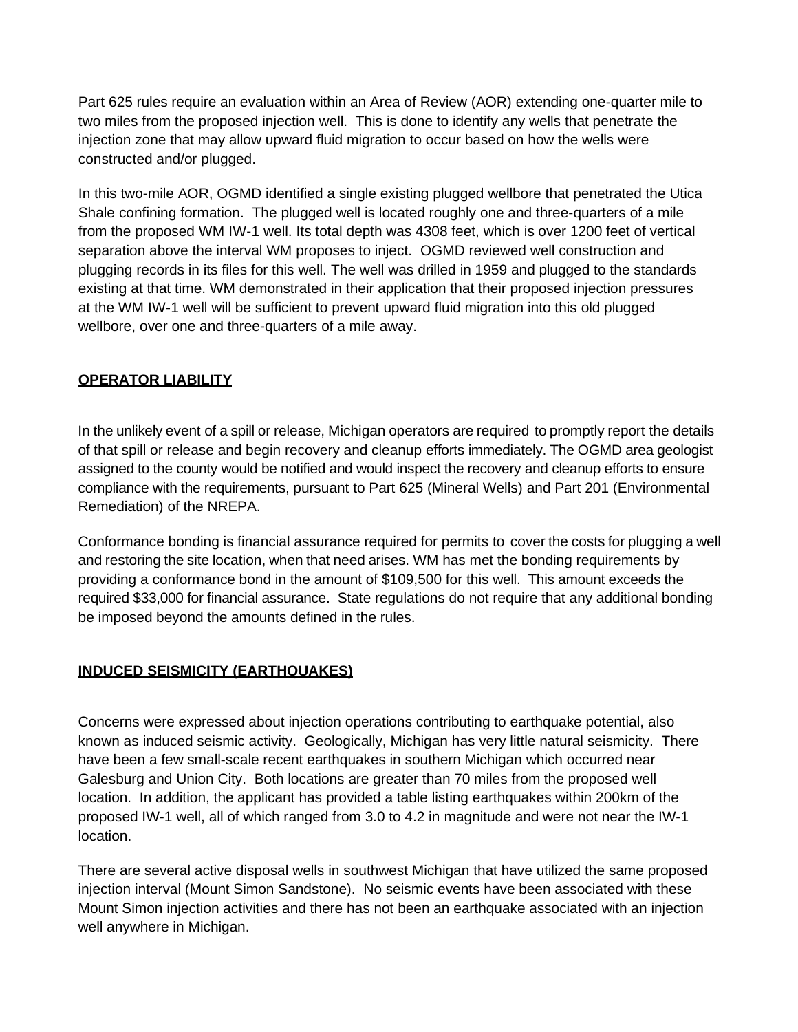Part 625 rules require an evaluation within an Area of Review (AOR) extending one-quarter mile to two miles from the proposed injection well. This is done to identify any wells that penetrate the injection zone that may allow upward fluid migration to occur based on how the wells were constructed and/or plugged.

In this two-mile AOR, OGMD identified a single existing plugged wellbore that penetrated the Utica Shale confining formation. The plugged well is located roughly one and three-quarters of a mile from the proposed WM IW-1 well. Its total depth was 4308 feet, which is over 1200 feet of vertical separation above the interval WM proposes to inject. OGMD reviewed well construction and plugging records in its files for this well. The well was drilled in 1959 and plugged to the standards existing at that time. WM demonstrated in their application that their proposed injection pressures at the WM IW-1 well will be sufficient to prevent upward fluid migration into this old plugged wellbore, over one and three-quarters of a mile away.

# **OPERATOR LIABILITY**

In the unlikely event of a spill or release, Michigan operators are required to promptly report the details of that spill or release and begin recovery and cleanup efforts immediately. The OGMD area geologist assigned to the county would be notified and would inspect the recovery and cleanup efforts to ensure compliance with the requirements, pursuant to Part 625 (Mineral Wells) and Part 201 (Environmental Remediation) of the NREPA.

Conformance bonding is financial assurance required for permits to cover the costs for plugging a well and restoring the site location, when that need arises. WM has met the bonding requirements by providing a conformance bond in the amount of \$109,500 for this well. This amount exceeds the required \$33,000 for financial assurance. State regulations do not require that any additional bonding be imposed beyond the amounts defined in the rules.

## **INDUCED SEISMICITY (EARTHQUAKES)**

Concerns were expressed about injection operations contributing to earthquake potential, also known as induced seismic activity. Geologically, Michigan has very little natural seismicity. There have been a few small-scale recent earthquakes in southern Michigan which occurred near Galesburg and Union City. Both locations are greater than 70 miles from the proposed well location. In addition, the applicant has provided a table listing earthquakes within 200km of the proposed IW-1 well, all of which ranged from 3.0 to 4.2 in magnitude and were not near the IW-1 location.

There are several active disposal wells in southwest Michigan that have utilized the same proposed injection interval (Mount Simon Sandstone). No seismic events have been associated with these Mount Simon injection activities and there has not been an earthquake associated with an injection well anywhere in Michigan.